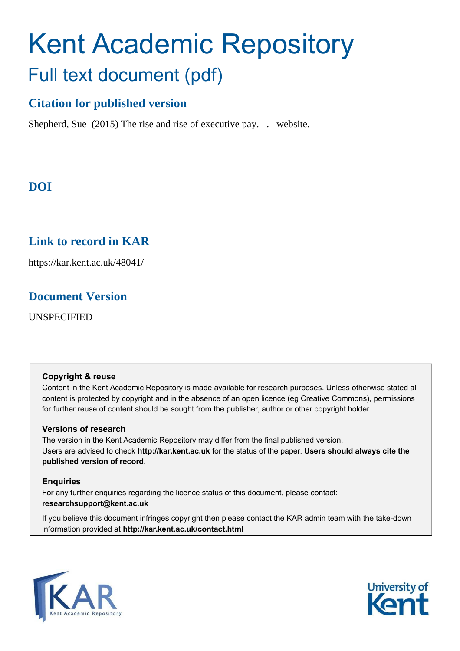# Kent Academic Repository Full text document (pdf)

## **Citation for published version**

Shepherd, Sue (2015) The rise and rise of executive pay. . website.

# **DOI**

## **Link to record in KAR**

https://kar.kent.ac.uk/48041/

### **Document Version**

UNSPECIFIED

#### **Copyright & reuse**

Content in the Kent Academic Repository is made available for research purposes. Unless otherwise stated all content is protected by copyright and in the absence of an open licence (eg Creative Commons), permissions for further reuse of content should be sought from the publisher, author or other copyright holder.

#### **Versions of research**

The version in the Kent Academic Repository may differ from the final published version. Users are advised to check **http://kar.kent.ac.uk** for the status of the paper. **Users should always cite the published version of record.**

#### **Enquiries**

For any further enquiries regarding the licence status of this document, please contact: **researchsupport@kent.ac.uk**

If you believe this document infringes copyright then please contact the KAR admin team with the take-down information provided at **http://kar.kent.ac.uk/contact.html**



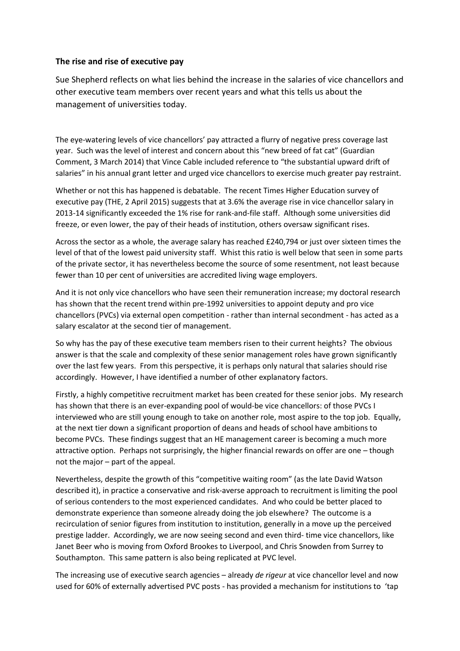#### **The rise and rise of executive pay**

Sue Shepherd reflects on what lies behind the increase in the salaries of vice chancellors and other executive team members over recent years and what this tells us about the management of universities today.

The eye-watering levels of vice chancellors' pay attracted a flurry of negative press coverage last year. Such was the level of interest and concern about this "new breed of fat cat" (Guardian Comment, 3 March 2014) that Vince Cable included reference to "the substantial upward drift of salaries" in his annual grant letter and urged vice chancellors to exercise much greater pay restraint.

Whether or not this has happened is debatable. The recent Times Higher Education survey of executive pay (THE, 2 April 2015) suggests that at 3.6% the average rise in vice chancellor salary in 2013-14 significantly exceeded the 1% rise for rank-and-file staff. Although some universities did freeze, or even lower, the pay of their heads of institution, others oversaw significant rises.

Across the sector as a whole, the average salary has reached £240,794 or just over sixteen times the level of that of the lowest paid university staff. Whist this ratio is well below that seen in some parts of the private sector, it has nevertheless become the source of some resentment, not least because fewer than 10 per cent of universities are accredited living wage employers.

And it is not only vice chancellors who have seen their remuneration increase; my doctoral research has shown that the recent trend within pre-1992 universities to appoint deputy and pro vice chancellors (PVCs) via external open competition - rather than internal secondment - has acted as a salary escalator at the second tier of management.

So why has the pay of these executive team members risen to their current heights? The obvious answer is that the scale and complexity of these senior management roles have grown significantly over the last few years. From this perspective, it is perhaps only natural that salaries should rise accordingly. However, I have identified a number of other explanatory factors.

Firstly, a highly competitive recruitment market has been created for these senior jobs. My research has shown that there is an ever-expanding pool of would-be vice chancellors: of those PVCs I interviewed who are still young enough to take on another role, most aspire to the top job. Equally, at the next tier down a significant proportion of deans and heads of school have ambitions to become PVCs. These findings suggest that an HE management career is becoming a much more attractive option. Perhaps not surprisingly, the higher financial rewards on offer are one - though not the major  $-$  part of the appeal.

Nevertheless, despite the growth of this "competitive waiting room" (as the late David Watson described it), in practice a conservative and risk-averse approach to recruitment is limiting the pool of serious contenders to the most experienced candidates. And who could be better placed to demonstrate experience than someone already doing the job elsewhere? The outcome is a recirculation of senior figures from institution to institution, generally in a move up the perceived prestige ladder. Accordingly, we are now seeing second and even third- time vice chancellors, like Janet Beer who is moving from Oxford Brookes to Liverpool, and Chris Snowden from Surrey to Southampton. This same pattern is also being replicated at PVC level.

The increasing use of executive search agencies - already *de rigeur* at vice chancellor level and now used for 60% of externally advertised PVC posts - has provided a mechanism for institutions to 'tap